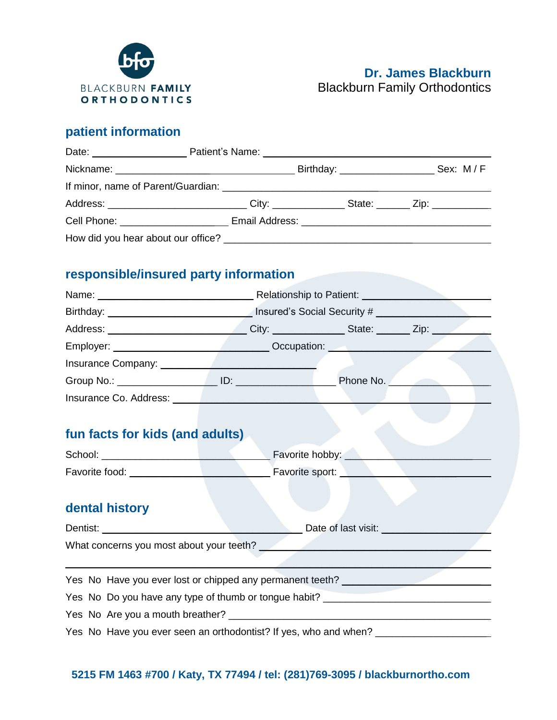

## **patient information**

| Address: _____________________________City: ______________State: _______Zip: _______________________ |  |  |
|------------------------------------------------------------------------------------------------------|--|--|
| Cell Phone: __________________________Email Address: ___________________________                     |  |  |
|                                                                                                      |  |  |

## **responsible/insured party information**

|                                                                                   | Name: \\connect{\sigma_{\sigma_{\sigma_{\sigma_{\sigma_{\sigma_{\sigma_{\sigma_{\sigma_{\sigma_{\sigma_{\sigma_{\sigma_{\sigma_{\sigma_{\sigma_{\sigma_{\sigma_{\sigma_{\sigma_{\sigma_{\sigma_{\sigma_{\sigma_{\sigma_{\sigma |  |  |
|-----------------------------------------------------------------------------------|--------------------------------------------------------------------------------------------------------------------------------------------------------------------------------------------------------------------------------|--|--|
|                                                                                   | Birthday: ___________________________________ Insured's Social Security # _________________________                                                                                                                            |  |  |
|                                                                                   |                                                                                                                                                                                                                                |  |  |
|                                                                                   |                                                                                                                                                                                                                                |  |  |
|                                                                                   |                                                                                                                                                                                                                                |  |  |
|                                                                                   |                                                                                                                                                                                                                                |  |  |
| Insurance Co. Address: New York Co. 2014                                          |                                                                                                                                                                                                                                |  |  |
|                                                                                   |                                                                                                                                                                                                                                |  |  |
| fun facts for kids (and adults)                                                   |                                                                                                                                                                                                                                |  |  |
|                                                                                   | School: <u>Communication of the School:</u> Favorite hobby: Communication of the School:                                                                                                                                       |  |  |
|                                                                                   |                                                                                                                                                                                                                                |  |  |
|                                                                                   |                                                                                                                                                                                                                                |  |  |
| dental history                                                                    |                                                                                                                                                                                                                                |  |  |
|                                                                                   |                                                                                                                                                                                                                                |  |  |
|                                                                                   |                                                                                                                                                                                                                                |  |  |
|                                                                                   |                                                                                                                                                                                                                                |  |  |
| Yes No Have you ever lost or chipped any permanent teeth? ______________________  |                                                                                                                                                                                                                                |  |  |
| Yes No Do you have any type of thumb or tongue habit? __________________________  |                                                                                                                                                                                                                                |  |  |
|                                                                                   |                                                                                                                                                                                                                                |  |  |
| Yes No Have you ever seen an orthodontist? If yes, who and when? ________________ |                                                                                                                                                                                                                                |  |  |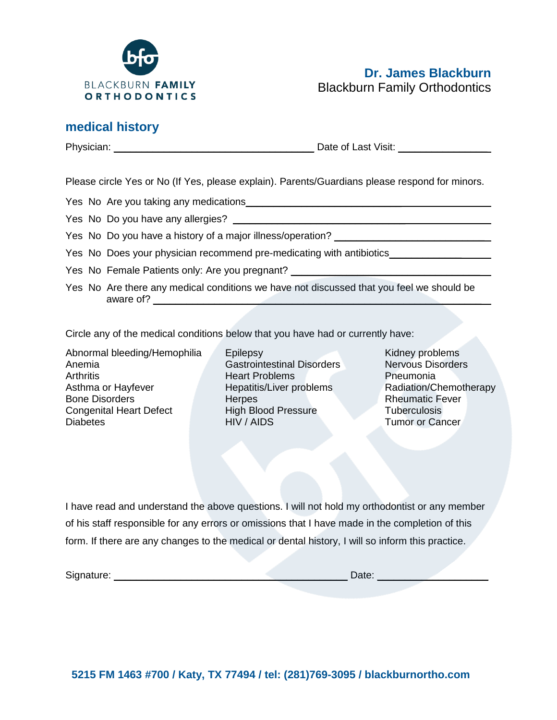

## **medical history**

Physician: \_\_\_\_\_\_\_\_\_\_\_\_\_\_\_\_\_\_\_\_\_\_\_\_\_\_\_\_\_\_\_\_\_\_\_\_ Date of Last Visit: \_\_\_\_\_\_\_\_\_\_\_\_\_\_\_\_

Please circle Yes or No (If Yes, please explain). Parents/Guardians please respond for minors.

Yes No Are you taking any medications\_\_\_\_\_\_\_\_\_\_\_\_\_\_\_\_\_\_\_\_\_\_\_\_\_\_\_\_

Yes No Do you have any allergies? \_\_\_\_\_\_\_\_\_\_\_\_\_\_\_\_\_\_\_\_\_\_\_\_\_\_\_\_\_\_\_

Yes No Do you have a history of a major illness/operation?

- Yes No Does your physician recommend pre-medicating with antibiotics\_\_\_\_\_\_\_\_\_\_\_\_
- Yes No Female Patients only: Are you pregnant?
- Yes No Are there any medical conditions we have not discussed that you feel we should be aware of? \_\_\_\_\_\_\_\_\_\_\_\_\_\_\_\_\_\_\_\_\_\_\_\_\_\_\_\_\_\_\_\_\_\_\_\_\_\_\_\_\_\_\_\_\_\_\_\_\_\_\_\_\_\_\_\_\_\_\_

Circle any of the medical conditions below that you have had or currently have:

Abnormal bleeding/Hemophilia Anemia **Arthritis** Asthma or Hayfever Bone Disorders Congenital Heart Defect Diabetes

**Epilepsy** Gastrointestinal Disorders Heart Problems Hepatitis/Liver problems **Herpes** High Blood Pressure HIV / AIDS

Kidney problems Nervous Disorders Pneumonia Radiation/Chemotherapy Rheumatic Fever **Tuberculosis** Tumor or Cancer

I have read and understand the above questions. I will not hold my orthodontist or any member of his staff responsible for any errors or omissions that I have made in the completion of this form. If there are any changes to the medical or dental history, I will so inform this practice.

Signature: \_\_\_\_\_\_\_\_\_\_\_\_\_\_\_\_\_\_\_\_\_\_\_\_\_\_\_\_\_\_\_\_\_\_\_\_\_\_\_\_\_\_ Date: \_\_\_\_\_\_\_\_\_\_\_\_\_\_\_\_\_\_\_\_